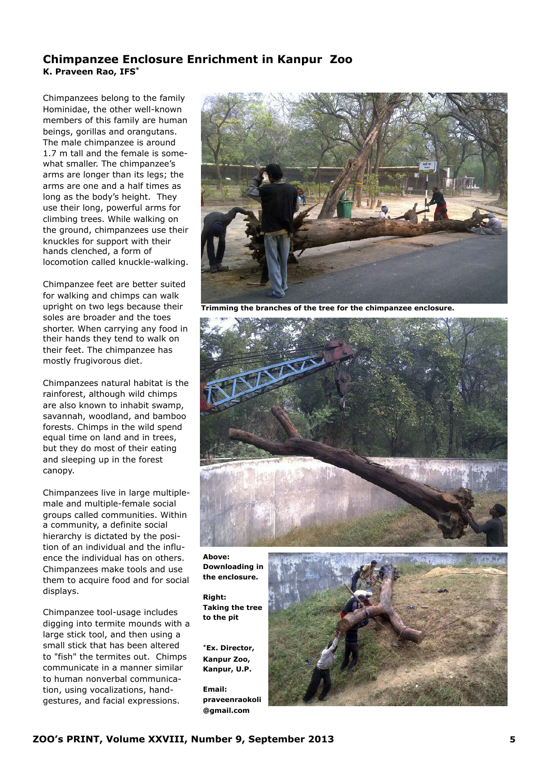## **Chimpanzee Enclosure Enrichment in Kanpur Zoo K. Praveen Rao, IFS\***

Chimpanzees belong to the family [Hominidae,](http://en.wikipedia.org/wiki/Hominidae) the other well-known members of this family are [human](http://en.wikipedia.org/wiki/Human)  [beings,](http://en.wikipedia.org/wiki/Human) gorillas and [orangutans.](http://en.wikipedia.org/wiki/Orangutan) The male chimpanzee is around 1.7 m tall and the female is somewhat smaller. The chimpanzee's arms are longer than its legs; the arms are one and a half times as long as the body's height. They use their long, powerful arms for climbing trees. While walking on the ground, chimpanzees use their knuckles for support with their hands clenched, a form of locomotion called knuckle-walking.

Chimpanzee feet are better suited for walking and chimps can walk upright on two legs because their soles are broader and the toes shorter. When carrying any food in their hands they tend to walk on their feet. The chimpanzee has mostly frugivorous diet.

Chimpanzees natural habitat is the rainforest, although wild chimps are also known to inhabit swamp, savannah, woodland, and bamboo forests. Chimps in the wild spend equal time on land and in trees, but they do most of their eating and sleeping up in the forest canopy.

Chimpanzees live in large multiplemale and multiple-female social groups called communities. Within a community, a definite social hierarchy is dictated by the position of an individual and the influence the individual has on others. Chimpanzees make tools and use them to acquire food and for social displays.

Chimpanzee tool-usage includes digging into termite mounds with a large stick tool, and then using a small stick that has been altered to "fish" the termites out. Chimps communicate in a manner similar to human nonverbal communication, using vocalizations, handgestures, and facial expressions.



**Trimming the branches of the tree for the chimpanzee enclosure.**



**Above: Downloading in the enclosure.**

**Right: Taking the tree to the pit** 

**\*Ex. Director, Kanpur Zoo, Kanpur, U.P.**

**Email: [praveenraokoli](mailto:praveenraokoli@gmail.com) [@gmail.com](mailto:praveenraokoli@gmail.com)** 

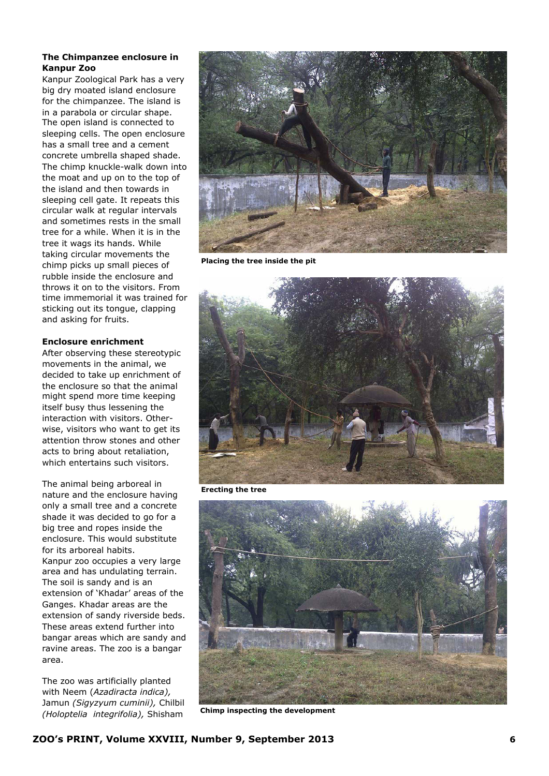## **The Chimpanzee enclosure in Kanpur Zoo**

Kanpur Zoological Park has a very big dry moated island enclosure for the chimpanzee. The island is in a parabola or circular shape. The open island is connected to sleeping cells. The open enclosure has a small tree and a cement concrete umbrella shaped shade. The chimp knuckle-walk down into the moat and up on to the top of the island and then towards in sleeping cell gate. It repeats this circular walk at regular intervals and sometimes rests in the small tree for a while. When it is in the tree it wags its hands. While taking circular movements the chimp picks up small pieces of rubble inside the enclosure and throws it on to the visitors. From time immemorial it was trained for sticking out its tongue, clapping and asking for fruits.

## **Enclosure enrichment**

After observing these stereotypic movements in the animal, we decided to take up enrichment of the enclosure so that the animal might spend more time keeping itself busy thus lessening the interaction with visitors. Otherwise, visitors who want to get its attention throw stones and other acts to bring about retaliation, which entertains such visitors.

The animal being arboreal in nature and the enclosure having only a small tree and a concrete shade it was decided to go for a big tree and ropes inside the enclosure. This would substitute for its arboreal habits. Kanpur zoo occupies a very large area and has undulating terrain. The soil is sandy and is an extension of 'Khadar' areas of the Ganges. Khadar areas are the extension of sandy riverside beds. These areas extend further into bangar areas which are sandy and ravine areas. The zoo is a bangar area.

The zoo was artificially planted with Neem (*Azadiracta indica),*  Jamun *(Sigyzyum cuminii),* Chilbil *(Holoptelia integrifolia),* Shisham



**Placing the tree inside the pit**



**Erecting the tree**



**Chimp inspecting the development**